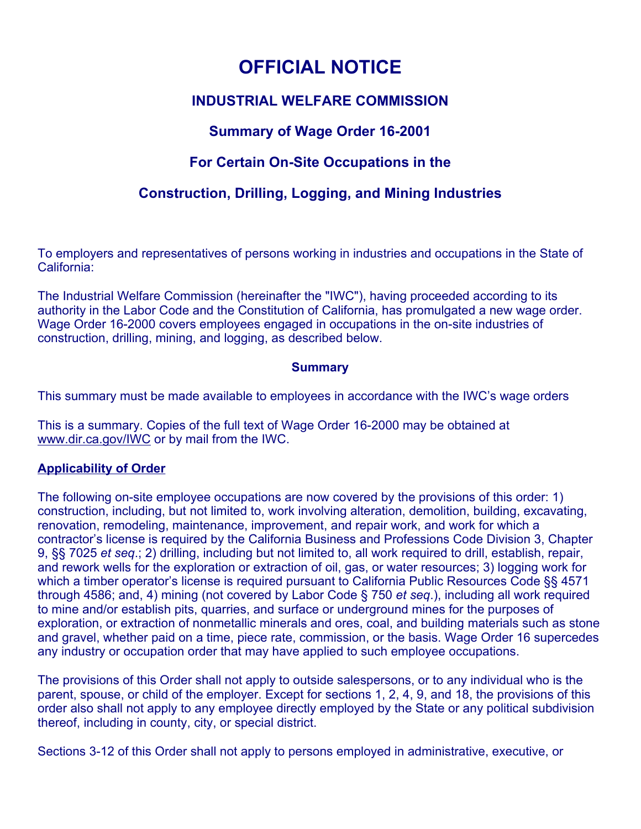# **OFFICIAL NOTICE**

## **INDUSTRIAL WELFARE COMMISSION**

# **Summary of Wage Order 16-2001**

# **For Certain On-Site Occupations in the**

# **Construction, Drilling, Logging, and Mining Industries**

To employers and representatives of persons working in industries and occupations in the State of California:

The Industrial Welfare Commission (hereinafter the "IWC"), having proceeded according to its authority in the Labor Code and the Constitution of California, has promulgated a new wage order. Wage Order 16-2000 covers employees engaged in occupations in the on-site industries of construction, drilling, mining, and logging, as described below.

### **Summary**

This summary must be made available to employees in accordance with the IWC's wage orders

This is a summary. Copies of the full text of Wage Order 16-2000 may be obtained at [www.dir.ca.gov/IWC](https://www.dir.ca.gov/IWC) or by mail from the IWC.

### **Applicability of Order**

The following on-site employee occupations are now covered by the provisions of this order: 1) construction, including, but not limited to, work involving alteration, demolition, building, excavating, renovation, remodeling, maintenance, improvement, and repair work, and work for which a contractor's license is required by the California Business and Professions Code Division 3, Chapter 9, §§ 7025 *et seq*.; 2) drilling, including but not limited to, all work required to drill, establish, repair, and rework wells for the exploration or extraction of oil, gas, or water resources; 3) logging work for which a timber operator's license is required pursuant to California Public Resources Code §§ 4571 through 4586; and, 4) mining (not covered by Labor Code § 750 *et seq*.), including all work required to mine and/or establish pits, quarries, and surface or underground mines for the purposes of exploration, or extraction of nonmetallic minerals and ores, coal, and building materials such as stone and gravel, whether paid on a time, piece rate, commission, or the basis. Wage Order 16 supercedes any industry or occupation order that may have applied to such employee occupations.

The provisions of this Order shall not apply to outside salespersons, or to any individual who is the parent, spouse, or child of the employer. Except for sections 1, 2, 4, 9, and 18, the provisions of this order also shall not apply to any employee directly employed by the State or any political subdivision thereof, including in county, city, or special district.

Sections 3-12 of this Order shall not apply to persons employed in administrative, executive, or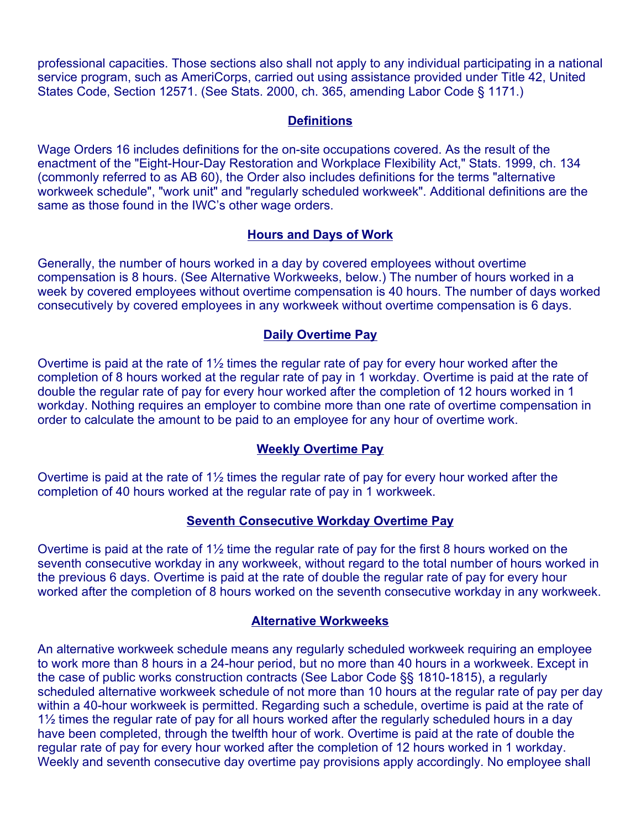professional capacities. Those sections also shall not apply to any individual participating in a national service program, such as AmeriCorps, carried out using assistance provided under Title 42, United States Code, Section 12571. (See Stats. 2000, ch. 365, amending Labor Code § 1171.)

### **Definitions**

Wage Orders 16 includes definitions for the on-site occupations covered. As the result of the enactment of the "Eight-Hour-Day Restoration and Workplace Flexibility Act," Stats. 1999, ch. 134 (commonly referred to as AB 60), the Order also includes definitions for the terms "alternative workweek schedule", "work unit" and "regularly scheduled workweek". Additional definitions are the same as those found in the IWC's other wage orders.

### **Hours and Days of Work**

Generally, the number of hours worked in a day by covered employees without overtime compensation is 8 hours. (See Alternative Workweeks, below.) The number of hours worked in a week by covered employees without overtime compensation is 40 hours. The number of days worked consecutively by covered employees in any workweek without overtime compensation is 6 days.

### **Daily Overtime Pay**

Overtime is paid at the rate of 1½ times the regular rate of pay for every hour worked after the completion of 8 hours worked at the regular rate of pay in 1 workday. Overtime is paid at the rate of double the regular rate of pay for every hour worked after the completion of 12 hours worked in 1 workday. Nothing requires an employer to combine more than one rate of overtime compensation in order to calculate the amount to be paid to an employee for any hour of overtime work.

### **Weekly Overtime Pay**

Overtime is paid at the rate of 1½ times the regular rate of pay for every hour worked after the completion of 40 hours worked at the regular rate of pay in 1 workweek.

### **Seventh Consecutive Workday Overtime Pay**

Overtime is paid at the rate of 1½ time the regular rate of pay for the first 8 hours worked on the seventh consecutive workday in any workweek, without regard to the total number of hours worked in the previous 6 days. Overtime is paid at the rate of double the regular rate of pay for every hour worked after the completion of 8 hours worked on the seventh consecutive workday in any workweek.

### **Alternative Workweeks**

An alternative workweek schedule means any regularly scheduled workweek requiring an employee to work more than 8 hours in a 24-hour period, but no more than 40 hours in a workweek. Except in the case of public works construction contracts (See Labor Code §§ 1810-1815), a regularly scheduled alternative workweek schedule of not more than 10 hours at the regular rate of pay per day within a 40-hour workweek is permitted. Regarding such a schedule, overtime is paid at the rate of 1½ times the regular rate of pay for all hours worked after the regularly scheduled hours in a day have been completed, through the twelfth hour of work. Overtime is paid at the rate of double the regular rate of pay for every hour worked after the completion of 12 hours worked in 1 workday. Weekly and seventh consecutive day overtime pay provisions apply accordingly. No employee shall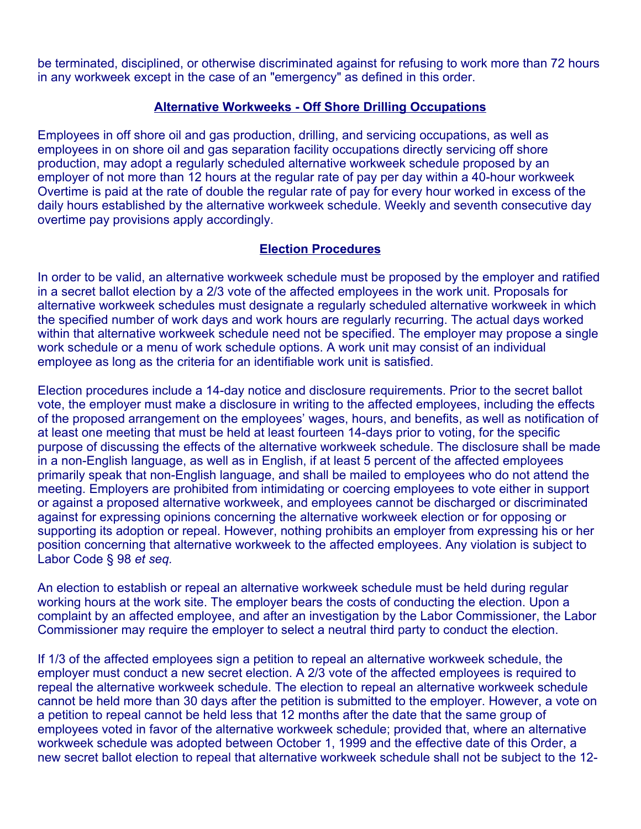be terminated, disciplined, or otherwise discriminated against for refusing to work more than 72 hours in any workweek except in the case of an "emergency" as defined in this order.

### **Alternative Workweeks - Off Shore Drilling Occupations**

Employees in off shore oil and gas production, drilling, and servicing occupations, as well as employees in on shore oil and gas separation facility occupations directly servicing off shore production, may adopt a regularly scheduled alternative workweek schedule proposed by an employer of not more than 12 hours at the regular rate of pay per day within a 40-hour workweek Overtime is paid at the rate of double the regular rate of pay for every hour worked in excess of the daily hours established by the alternative workweek schedule. Weekly and seventh consecutive day overtime pay provisions apply accordingly.

### **Election Procedures**

In order to be valid, an alternative workweek schedule must be proposed by the employer and ratified in a secret ballot election by a 2/3 vote of the affected employees in the work unit. Proposals for alternative workweek schedules must designate a regularly scheduled alternative workweek in which the specified number of work days and work hours are regularly recurring. The actual days worked within that alternative workweek schedule need not be specified. The employer may propose a single work schedule or a menu of work schedule options. A work unit may consist of an individual employee as long as the criteria for an identifiable work unit is satisfied.

Election procedures include a 14-day notice and disclosure requirements. Prior to the secret ballot vote, the employer must make a disclosure in writing to the affected employees, including the effects of the proposed arrangement on the employees' wages, hours, and benefits, as well as notification of at least one meeting that must be held at least fourteen 14-days prior to voting, for the specific purpose of discussing the effects of the alternative workweek schedule. The disclosure shall be made in a non-English language, as well as in English, if at least 5 percent of the affected employees primarily speak that non-English language, and shall be mailed to employees who do not attend the meeting. Employers are prohibited from intimidating or coercing employees to vote either in support or against a proposed alternative workweek, and employees cannot be discharged or discriminated against for expressing opinions concerning the alternative workweek election or for opposing or supporting its adoption or repeal. However, nothing prohibits an employer from expressing his or her position concerning that alternative workweek to the affected employees. Any violation is subject to Labor Code § 98 *et seq.* 

An election to establish or repeal an alternative workweek schedule must be held during regular working hours at the work site. The employer bears the costs of conducting the election. Upon a complaint by an affected employee, and after an investigation by the Labor Commissioner, the Labor Commissioner may require the employer to select a neutral third party to conduct the election.

If 1/3 of the affected employees sign a petition to repeal an alternative workweek schedule, the employer must conduct a new secret election. A 2/3 vote of the affected employees is required to repeal the alternative workweek schedule. The election to repeal an alternative workweek schedule cannot be held more than 30 days after the petition is submitted to the employer. However, a vote on a petition to repeal cannot be held less that 12 months after the date that the same group of employees voted in favor of the alternative workweek schedule; provided that, where an alternative workweek schedule was adopted between October 1, 1999 and the effective date of this Order, a new secret ballot election to repeal that alternative workweek schedule shall not be subject to the 12-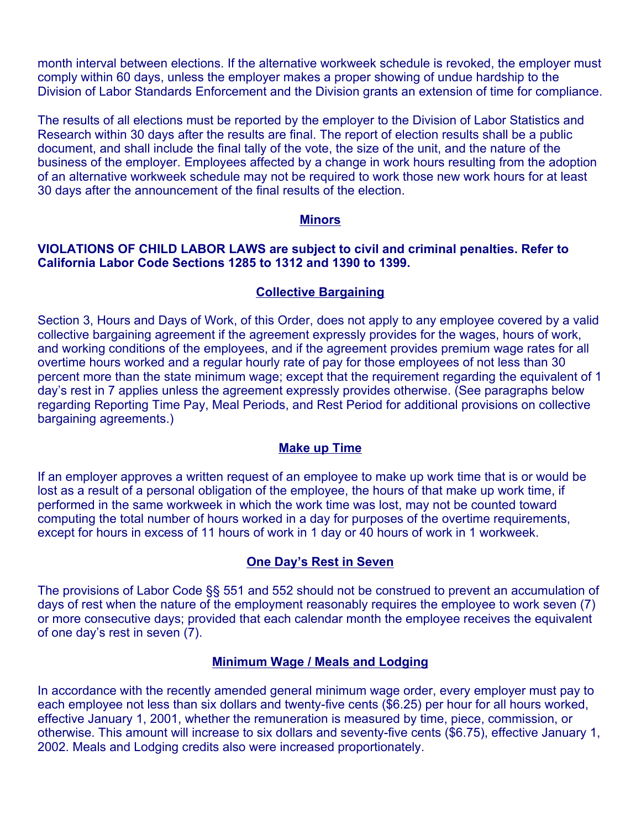month interval between elections. If the alternative workweek schedule is revoked, the employer must comply within 60 days, unless the employer makes a proper showing of undue hardship to the Division of Labor Standards Enforcement and the Division grants an extension of time for compliance.

The results of all elections must be reported by the employer to the Division of Labor Statistics and Research within 30 days after the results are final. The report of election results shall be a public document, and shall include the final tally of the vote, the size of the unit, and the nature of the business of the employer. Employees affected by a change in work hours resulting from the adoption of an alternative workweek schedule may not be required to work those new work hours for at least 30 days after the announcement of the final results of the election.

#### **Minors**

#### **VIOLATIONS OF CHILD LABOR LAWS are subject to civil and criminal penalties. Refer to California Labor Code Sections 1285 to 1312 and 1390 to 1399.**

#### **Collective Bargaining**

Section 3, Hours and Days of Work, of this Order, does not apply to any employee covered by a valid collective bargaining agreement if the agreement expressly provides for the wages, hours of work, and working conditions of the employees, and if the agreement provides premium wage rates for all overtime hours worked and a regular hourly rate of pay for those employees of not less than 30 percent more than the state minimum wage; except that the requirement regarding the equivalent of 1 day's rest in 7 applies unless the agreement expressly provides otherwise. (See paragraphs below regarding Reporting Time Pay, Meal Periods, and Rest Period for additional provisions on collective bargaining agreements.)

#### **Make up Time**

If an employer approves a written request of an employee to make up work time that is or would be lost as a result of a personal obligation of the employee, the hours of that make up work time, if performed in the same workweek in which the work time was lost, may not be counted toward computing the total number of hours worked in a day for purposes of the overtime requirements, except for hours in excess of 11 hours of work in 1 day or 40 hours of work in 1 workweek.

#### **One Day's Rest in Seven**

The provisions of Labor Code §§ 551 and 552 should not be construed to prevent an accumulation of days of rest when the nature of the employment reasonably requires the employee to work seven (7) or more consecutive days; provided that each calendar month the employee receives the equivalent of one day's rest in seven (7).

#### **Minimum Wage / Meals and Lodging**

In accordance with the recently amended general minimum wage order, every employer must pay to each employee not less than six dollars and twenty-five cents (\$6.25) per hour for all hours worked, effective January 1, 2001, whether the remuneration is measured by time, piece, commission, or otherwise. This amount will increase to six dollars and seventy-five cents (\$6.75), effective January 1, 2002. Meals and Lodging credits also were increased proportionately.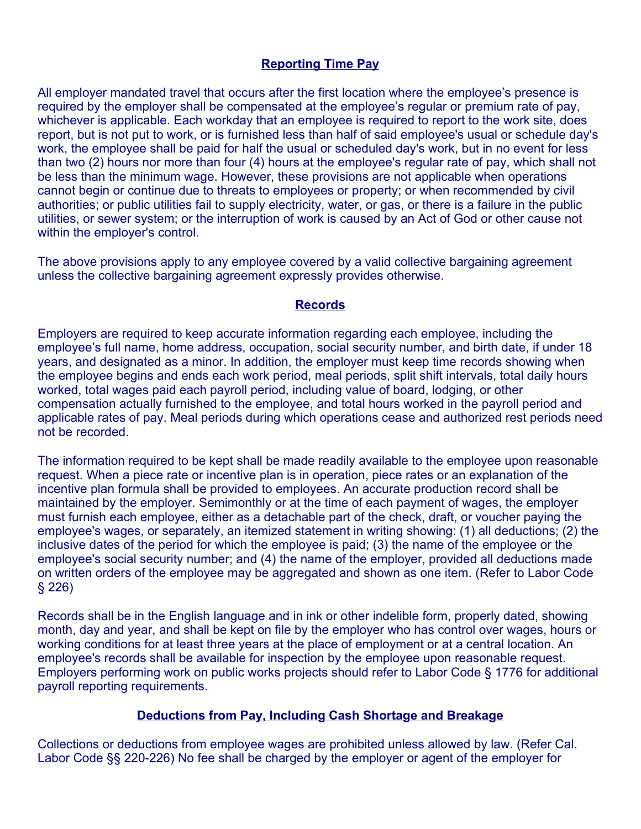### **Reporting Time Pay**

All employer mandated travel that occurs after the first location where the employee's presence is required by the employer shall be compensated at the employee's regular or premium rate of pay, whichever is applicable. Each workday that an employee is required to report to the work site, does report, but is not put to work, or is furnished less than half of said employee's usual or schedule day's work, the employee shall be paid for half the usual or scheduled day's work, but in no event for less than two (2) hours nor more than four (4) hours at the employee's regular rate of pay, which shall not be less than the minimum wage. However, these provisions are not applicable when operations cannot begin or continue due to threats to employees or property; or when recommended by civil authorities; or public utilities fail to supply electricity, water, or gas, or there is a failure in the public utilities, or sewer system; or the interruption of work is caused by an Act of God or other cause not within the employer's control.

The above provisions apply to any employee covered by a valid collective bargaining agreement unless the collective bargaining agreement expressly provides otherwise.

#### **Records**

Employers are required to keep accurate information regarding each employee, including the employee's full name, home address, occupation, social security number, and birth date, if under 18 years, and designated as a minor. In addition, the employer must keep time records showing when the employee begins and ends each work period, meal periods, split shift intervals, total daily hours worked, total wages paid each payroll period, including value of board, lodging, or other compensation actually furnished to the employee, and total hours worked in the payroll period and applicable rates of pay. Meal periods during which operations cease and authorized rest periods need not be recorded.

The information required to be kept shall be made readily available to the employee upon reasonable request. When a piece rate or incentive plan is in operation, piece rates or an explanation of the incentive plan formula shall be provided to employees. An accurate production record shall be maintained by the employer. Semimonthly or at the time of each payment of wages, the employer must furnish each employee, either as a detachable part of the check, draft, or voucher paying the employee's wages, or separately, an itemized statement in writing showing: (1) all deductions; (2) the inclusive dates of the period for which the employee is paid; (3) the name of the employee or the employee's social security number; and (4) the name of the employer, provided all deductions made on written orders of the employee may be aggregated and shown as one item. (Refer to Labor Code § 226)

Records shall be in the English language and in ink or other indelible form, properly dated, showing month, day and year, and shall be kept on file by the employer who has control over wages, hours or working conditions for at least three years at the place of employment or at a central location. An employee's records shall be available for inspection by the employee upon reasonable request. Employers performing work on public works projects should refer to Labor Code § 1776 for additional payroll reporting requirements.

### **Deductions from Pay, Including Cash Shortage and Breakage**

Collections or deductions from employee wages are prohibited unless allowed by law. (Refer Cal. Labor Code §§ 220-226) No fee shall be charged by the employer or agent of the employer for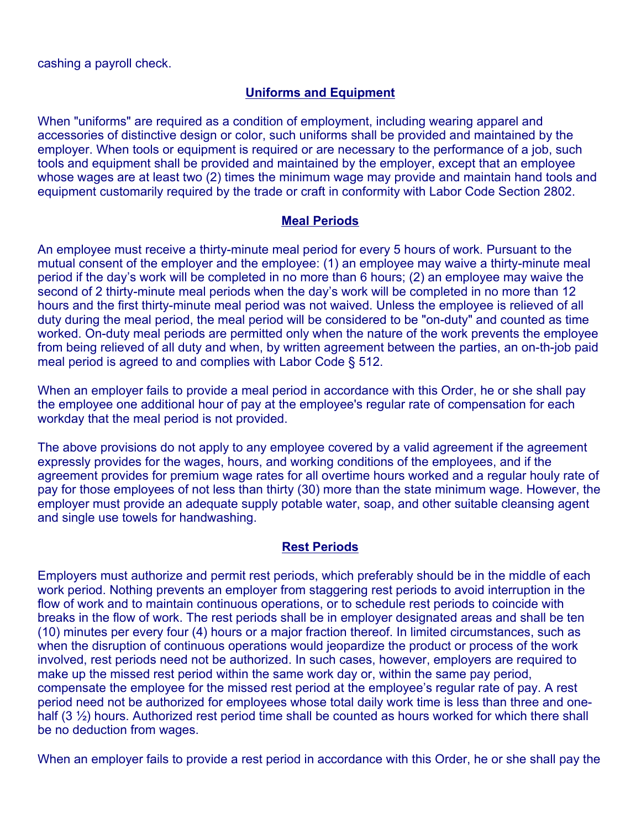### **Uniforms and Equipment**

When "uniforms" are required as a condition of employment, including wearing apparel and accessories of distinctive design or color, such uniforms shall be provided and maintained by the employer. When tools or equipment is required or are necessary to the performance of a job, such tools and equipment shall be provided and maintained by the employer, except that an employee whose wages are at least two (2) times the minimum wage may provide and maintain hand tools and equipment customarily required by the trade or craft in conformity with Labor Code Section 2802.

### **Meal Periods**

An employee must receive a thirty-minute meal period for every 5 hours of work. Pursuant to the mutual consent of the employer and the employee: (1) an employee may waive a thirty-minute meal period if the day's work will be completed in no more than 6 hours; (2) an employee may waive the second of 2 thirty-minute meal periods when the day's work will be completed in no more than 12 hours and the first thirty-minute meal period was not waived. Unless the employee is relieved of all duty during the meal period, the meal period will be considered to be "on-duty" and counted as time worked. On-duty meal periods are permitted only when the nature of the work prevents the employee from being relieved of all duty and when, by written agreement between the parties, an on-th-job paid meal period is agreed to and complies with Labor Code § 512.

When an employer fails to provide a meal period in accordance with this Order, he or she shall pay the employee one additional hour of pay at the employee's regular rate of compensation for each workday that the meal period is not provided.

The above provisions do not apply to any employee covered by a valid agreement if the agreement expressly provides for the wages, hours, and working conditions of the employees, and if the agreement provides for premium wage rates for all overtime hours worked and a regular houly rate of pay for those employees of not less than thirty (30) more than the state minimum wage. However, the employer must provide an adequate supply potable water, soap, and other suitable cleansing agent and single use towels for handwashing.

### **Rest Periods**

Employers must authorize and permit rest periods, which preferably should be in the middle of each work period. Nothing prevents an employer from staggering rest periods to avoid interruption in the flow of work and to maintain continuous operations, or to schedule rest periods to coincide with breaks in the flow of work. The rest periods shall be in employer designated areas and shall be ten (10) minutes per every four (4) hours or a major fraction thereof. In limited circumstances, such as when the disruption of continuous operations would jeopardize the product or process of the work involved, rest periods need not be authorized. In such cases, however, employers are required to make up the missed rest period within the same work day or, within the same pay period, compensate the employee for the missed rest period at the employee's regular rate of pay. A rest period need not be authorized for employees whose total daily work time is less than three and onehalf (3 ½) hours. Authorized rest period time shall be counted as hours worked for which there shall be no deduction from wages.

When an employer fails to provide a rest period in accordance with this Order, he or she shall pay the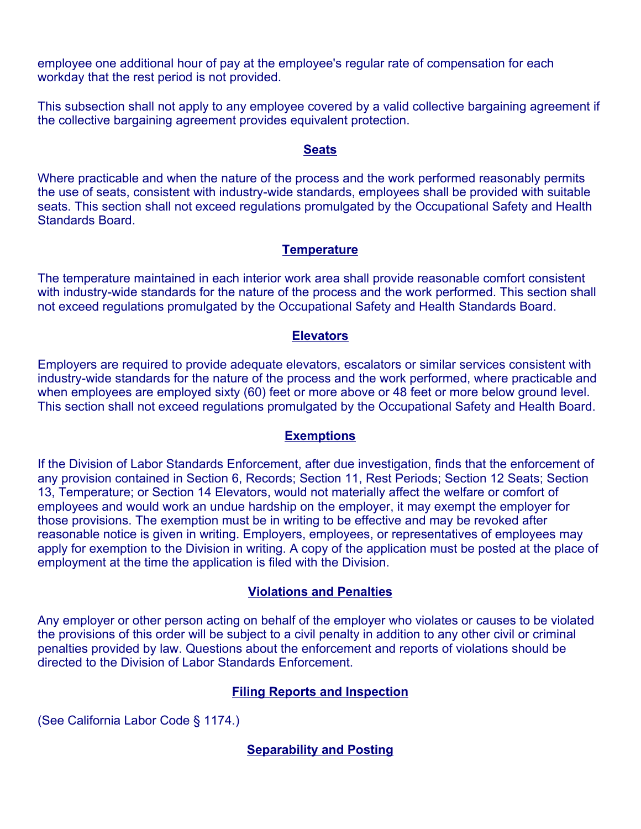employee one additional hour of pay at the employee's regular rate of compensation for each workday that the rest period is not provided.

This subsection shall not apply to any employee covered by a valid collective bargaining agreement if the collective bargaining agreement provides equivalent protection.

#### **Seats**

Where practicable and when the nature of the process and the work performed reasonably permits the use of seats, consistent with industry-wide standards, employees shall be provided with suitable seats. This section shall not exceed regulations promulgated by the Occupational Safety and Health Standards Board.

### **Temperature**

The temperature maintained in each interior work area shall provide reasonable comfort consistent with industry-wide standards for the nature of the process and the work performed. This section shall not exceed regulations promulgated by the Occupational Safety and Health Standards Board.

### **Elevators**

Employers are required to provide adequate elevators, escalators or similar services consistent with industry-wide standards for the nature of the process and the work performed, where practicable and when employees are employed sixty (60) feet or more above or 48 feet or more below ground level. This section shall not exceed regulations promulgated by the Occupational Safety and Health Board.

#### **Exemptions**

If the Division of Labor Standards Enforcement, after due investigation, finds that the enforcement of any provision contained in Section 6, Records; Section 11, Rest Periods; Section 12 Seats; Section 13, Temperature; or Section 14 Elevators, would not materially affect the welfare or comfort of employees and would work an undue hardship on the employer, it may exempt the employer for those provisions. The exemption must be in writing to be effective and may be revoked after reasonable notice is given in writing. Employers, employees, or representatives of employees may apply for exemption to the Division in writing. A copy of the application must be posted at the place of employment at the time the application is filed with the Division.

### **Violations and Penalties**

Any employer or other person acting on behalf of the employer who violates or causes to be violated the provisions of this order will be subject to a civil penalty in addition to any other civil or criminal penalties provided by law. Questions about the enforcement and reports of violations should be directed to the Division of Labor Standards Enforcement.

### **Filing Reports and Inspection**

(See California Labor Code § 1174.)